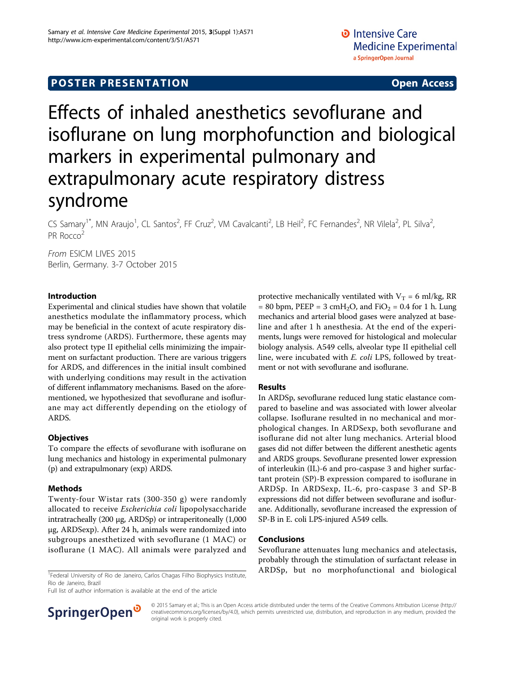## **POSTER PRESENTATION CONSUMING ACCESS**

# Effects of inhaled anesthetics sevoflurane and isoflurane on lung morphofunction and biological markers in experimental pulmonary and extrapulmonary acute respiratory distress syndrome

CS Samary<sup>1\*</sup>, MN Araujo<sup>1</sup>, CL Santos<sup>2</sup>, FF Cruz<sup>2</sup>, VM Cavalcanti<sup>2</sup>, LB Heil<sup>2</sup>, FC Fernandes<sup>2</sup>, NR Vilela<sup>2</sup>, PL Silva<sup>2</sup> , PR Rocco<sup>2</sup>

From ESICM LIVES 2015 Berlin, Germany. 3-7 October 2015

## Introduction

Experimental and clinical studies have shown that volatile anesthetics modulate the inflammatory process, which may be beneficial in the context of acute respiratory distress syndrome (ARDS). Furthermore, these agents may also protect type II epithelial cells minimizing the impairment on surfactant production. There are various triggers for ARDS, and differences in the initial insult combined with underlying conditions may result in the activation of different inflammatory mechanisms. Based on the aforementioned, we hypothesized that sevoflurane and isoflurane may act differently depending on the etiology of ARDS.

#### **Objectives**

To compare the effects of sevoflurane with isoflurane on lung mechanics and histology in experimental pulmonary (p) and extrapulmonary (exp) ARDS.

## Methods

Twenty-four Wistar rats (300-350 g) were randomly allocated to receive Escherichia coli lipopolysaccharide intratracheally (200 µg, ARDSp) or intraperitoneally (1,000 µg, ARDSexp). After 24 h, animals were randomized into subgroups anesthetized with sevoflurane (1 MAC) or isoflurane (1 MAC). All animals were paralyzed and

<sup>1</sup> Federal University of Rio de Janeiro, Carlos Chagas Filho Biophysics Institute, Rio de Janeiro, Brazil

Full list of author information is available at the end of the article



protective mechanically ventilated with  $V_T = 6$  ml/kg, RR = 80 bpm, PEEP = 3 cmH<sub>2</sub>O, and FiO<sub>2</sub> = 0.4 for 1 h. Lung mechanics and arterial blood gases were analyzed at baseline and after 1 h anesthesia. At the end of the experiments, lungs were removed for histological and molecular biology analysis. A549 cells, alveolar type II epithelial cell line, were incubated with E. coli LPS, followed by treatment or not with sevoflurane and isoflurane.

#### Results

In ARDSp, sevoflurane reduced lung static elastance compared to baseline and was associated with lower alveolar collapse. Isoflurane resulted in no mechanical and morphological changes. In ARDSexp, both sevoflurane and isoflurane did not alter lung mechanics. Arterial blood gases did not differ between the different anesthetic agents and ARDS groups. Sevoflurane presented lower expression of interleukin (IL)-6 and pro-caspase 3 and higher surfactant protein (SP)-B expression compared to isoflurane in ARDSp. In ARDSexp, IL-6, pro-caspase 3 and SP-B expressions did not differ between sevoflurane and isoflurane. Additionally, sevoflurane increased the expression of SP-B in E. coli LPS-injured A549 cells.

#### Conclusions

Sevoflurane attenuates lung mechanics and atelectasis, probably through the stimulation of surfactant release in ARDSp, but no morphofunctional and biological

© 2015 Samary et al.; This is an Open Access article distributed under the terms of the Creative Commons Attribution License [\(http://](http://creativecommons.org/licenses/by/4.0) [creativecommons.org/licenses/by/4.0](http://creativecommons.org/licenses/by/4.0)), which permits unrestricted use, distribution, and reproduction in any medium, provided the original work is properly cited.